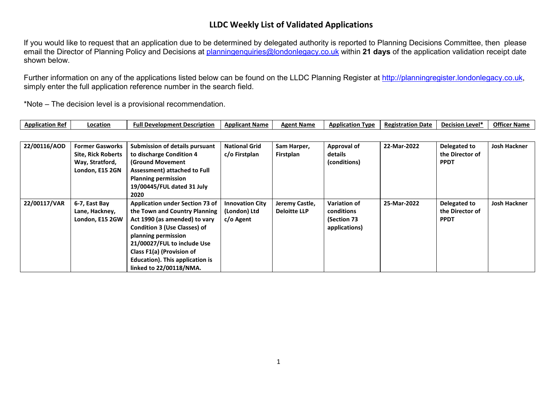If you would like to request that an application due to be determined by delegated authority is reported to Planning Decisions Committee, then please email the Director of Planning Policy and Decisions at [planningenquiries@londonlegacy.co.uk](mailto:planningenquiries@londonlegacy.co.uk) within **21 days** of the application validation receipt date shown below.

Further information on any of the applications listed below can be found on the LLDC Planning Register at [http://planningregister.londonlegacy.co.uk,](http://planningregister.londonlegacy.co.uk/) simply enter the full application reference number in the search field.

| Application<br>⊦Ref | ່າcation | <b>Full Development Description</b> | <b>Applicant Name</b> | <b>Agent Name</b> | <b>"cation Type</b><br>Appli | <b>Registration Date</b><br>. . | Level*<br><b>Decisio</b> | <b>Officer</b><br>∵ Name |
|---------------------|----------|-------------------------------------|-----------------------|-------------------|------------------------------|---------------------------------|--------------------------|--------------------------|
|---------------------|----------|-------------------------------------|-----------------------|-------------------|------------------------------|---------------------------------|--------------------------|--------------------------|

| 22/00116/AOD | <b>Former Gasworks</b><br><b>Site, Rick Roberts</b><br>Way, Stratford,<br>London, E15 2GN | <b>Submission of details pursuant</b><br>to discharge Condition 4<br><b>(Ground Movement</b><br><b>Assessment) attached to Full</b><br><b>Planning permission</b><br>19/00445/FUL dated 31 July<br>2020                                                                                                 | <b>National Grid</b><br>c/o Firstplan               | Sam Harper,<br>Firstplan              | <b>Approval of</b><br>details<br>(conditions)                     | 22-Mar-2022 | Delegated to<br>the Director of<br><b>PPDT</b> | <b>Josh Hackner</b> |
|--------------|-------------------------------------------------------------------------------------------|---------------------------------------------------------------------------------------------------------------------------------------------------------------------------------------------------------------------------------------------------------------------------------------------------------|-----------------------------------------------------|---------------------------------------|-------------------------------------------------------------------|-------------|------------------------------------------------|---------------------|
| 22/00117/VAR | 6-7, East Bay<br>Lane, Hackney,<br>London, E15 2GW                                        | <b>Application under Section 73 of</b><br>the Town and Country Planning<br>Act 1990 (as amended) to vary<br><b>Condition 3 (Use Classes) of</b><br>planning permission<br>21/00027/FUL to include Use<br>Class F1(a) (Provision of<br><b>Education). This application is</b><br>linked to 22/00118/NMA. | <b>Innovation City</b><br>(London) Ltd<br>c/o Agent | Jeremy Castle,<br><b>Deloitte LLP</b> | <b>Variation of</b><br>conditions<br>(Section 73<br>applications) | 25-Mar-2022 | Delegated to<br>the Director of<br><b>PPDT</b> | <b>Josh Hackner</b> |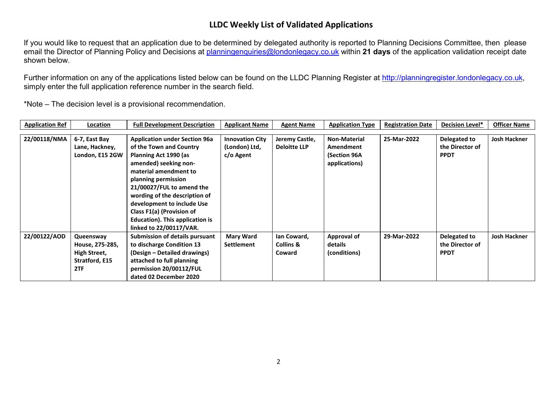If you would like to request that an application due to be determined by delegated authority is reported to Planning Decisions Committee, then please email the Director of Planning Policy and Decisions at [planningenquiries@londonlegacy.co.uk](mailto:planningenquiries@londonlegacy.co.uk) within **21 days** of the application validation receipt date shown below.

Further information on any of the applications listed below can be found on the LLDC Planning Register at [http://planningregister.londonlegacy.co.uk,](http://planningregister.londonlegacy.co.uk/) simply enter the full application reference number in the search field.

| <b>Application Ref</b> | Location        | <b>Full Development Description</b>   | <b>Applicant Name</b>  | <b>Agent Name</b>   | <b>Application Type</b> | <b>Registration Date</b> | <b>Decision Level*</b> | <b>Officer Name</b> |
|------------------------|-----------------|---------------------------------------|------------------------|---------------------|-------------------------|--------------------------|------------------------|---------------------|
|                        |                 |                                       |                        |                     |                         |                          |                        |                     |
| 22/00118/NMA           | 6-7, East Bay   | <b>Application under Section 96a</b>  | <b>Innovation City</b> | Jeremy Castle,      | <b>Non-Material</b>     | 25-Mar-2022              | Delegated to           | <b>Josh Hackner</b> |
|                        | Lane, Hackney,  | of the Town and Country               | (London) Ltd,          | <b>Deloitte LLP</b> | Amendment               |                          | the Director of        |                     |
|                        | London, E15 2GW | Planning Act 1990 (as                 | c/o Agent              |                     | (Section 96A            |                          | <b>PPDT</b>            |                     |
|                        |                 | amended) seeking non-                 |                        |                     | applications)           |                          |                        |                     |
|                        |                 | material amendment to                 |                        |                     |                         |                          |                        |                     |
|                        |                 | planning permission                   |                        |                     |                         |                          |                        |                     |
|                        |                 | 21/00027/FUL to amend the             |                        |                     |                         |                          |                        |                     |
|                        |                 | wording of the description of         |                        |                     |                         |                          |                        |                     |
|                        |                 | development to include Use            |                        |                     |                         |                          |                        |                     |
|                        |                 | Class F1(a) (Provision of             |                        |                     |                         |                          |                        |                     |
|                        |                 | Education). This application is       |                        |                     |                         |                          |                        |                     |
|                        |                 | linked to 22/00117/VAR.               |                        |                     |                         |                          |                        |                     |
| 22/00122/AOD           | Queensway       | <b>Submission of details pursuant</b> | <b>Mary Ward</b>       | lan Coward,         | Approval of             | 29-Mar-2022              | Delegated to           | <b>Josh Hackner</b> |
|                        | House, 275-285, | to discharge Condition 13             | Settlement             | Collins &           | details                 |                          | the Director of        |                     |
|                        | High Street,    | (Design – Detailed drawings)          |                        | Coward              | (conditions)            |                          | <b>PPDT</b>            |                     |
|                        | Stratford, E15  | attached to full planning             |                        |                     |                         |                          |                        |                     |
|                        | 2TF             | permission 20/00112/FUL               |                        |                     |                         |                          |                        |                     |
|                        |                 | dated 02 December 2020                |                        |                     |                         |                          |                        |                     |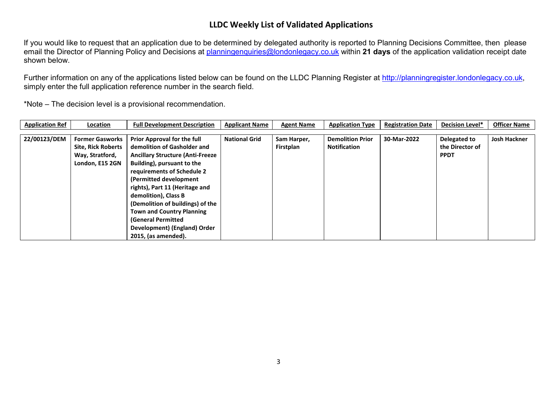If you would like to request that an application due to be determined by delegated authority is reported to Planning Decisions Committee, then please email the Director of Planning Policy and Decisions at [planningenquiries@londonlegacy.co.uk](mailto:planningenquiries@londonlegacy.co.uk) within **21 days** of the application validation receipt date shown below.

Further information on any of the applications listed below can be found on the LLDC Planning Register at [http://planningregister.londonlegacy.co.uk,](http://planningregister.londonlegacy.co.uk/) simply enter the full application reference number in the search field.

| <b>Application Ref</b> | Location                  | <b>Full Development Description</b>      | <b>Applicant Name</b> | <b>Agent Name</b> | <b>Application Type</b> | <b>Registration Date</b> | <b>Decision Level*</b> | <b>Officer Name</b> |
|------------------------|---------------------------|------------------------------------------|-----------------------|-------------------|-------------------------|--------------------------|------------------------|---------------------|
|                        |                           |                                          |                       |                   |                         |                          |                        |                     |
| 22/00123/DEM           | <b>Former Gasworks</b>    | <b>Prior Approval for the full</b>       | <b>National Grid</b>  | Sam Harper,       | <b>Demolition Prior</b> | 30-Mar-2022              | Delegated to           | <b>Josh Hackner</b> |
|                        | <b>Site, Rick Roberts</b> | demolition of Gasholder and              |                       | Firstplan         | <b>Notification</b>     |                          | the Director of        |                     |
|                        | Way, Stratford,           | <b>Ancillary Structure (Anti-Freeze)</b> |                       |                   |                         |                          | <b>PPDT</b>            |                     |
|                        | London, E15 2GN           | Building), pursuant to the               |                       |                   |                         |                          |                        |                     |
|                        |                           | requirements of Schedule 2               |                       |                   |                         |                          |                        |                     |
|                        |                           | (Permitted development)                  |                       |                   |                         |                          |                        |                     |
|                        |                           | rights), Part 11 (Heritage and           |                       |                   |                         |                          |                        |                     |
|                        |                           | demolition), Class B                     |                       |                   |                         |                          |                        |                     |
|                        |                           | (Demolition of buildings) of the         |                       |                   |                         |                          |                        |                     |
|                        |                           | <b>Town and Country Planning</b>         |                       |                   |                         |                          |                        |                     |
|                        |                           | <b>(General Permitted</b>                |                       |                   |                         |                          |                        |                     |
|                        |                           | Development) (England) Order             |                       |                   |                         |                          |                        |                     |
|                        |                           | 2015, (as amended).                      |                       |                   |                         |                          |                        |                     |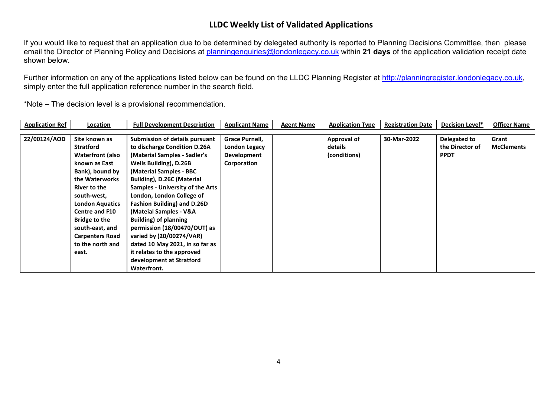If you would like to request that an application due to be determined by delegated authority is reported to Planning Decisions Committee, then please email the Director of Planning Policy and Decisions at [planningenquiries@londonlegacy.co.uk](mailto:planningenquiries@londonlegacy.co.uk) within **21 days** of the application validation receipt date shown below.

Further information on any of the applications listed below can be found on the LLDC Planning Register at [http://planningregister.londonlegacy.co.uk,](http://planningregister.londonlegacy.co.uk/) simply enter the full application reference number in the search field.

| <b>Application Ref</b> | <b>Location</b>         | <b>Full Development Description</b>     | <b>Applicant Name</b> | <b>Agent Name</b> | <b>Application Type</b> | <b>Registration Date</b> | <b>Decision Level*</b> | <b>Officer Name</b> |
|------------------------|-------------------------|-----------------------------------------|-----------------------|-------------------|-------------------------|--------------------------|------------------------|---------------------|
|                        |                         |                                         |                       |                   |                         |                          |                        |                     |
| 22/00124/AOD           | Site known as           | Submission of details pursuant          | Grace Purnell,        |                   | <b>Approval of</b>      | 30-Mar-2022              | Delegated to           | Grant               |
|                        | <b>Stratford</b>        | to discharge Condition D.26A            | London Legacy         |                   | details                 |                          | the Director of        | <b>McClements</b>   |
|                        | <b>Waterfront (also</b> | (Material Samples - Sadler's            | Development           |                   | (conditions)            |                          | <b>PPDT</b>            |                     |
|                        | known as East           | Wells Building), D.26B                  | Corporation           |                   |                         |                          |                        |                     |
|                        | Bank), bound by         | (Material Samples - BBC                 |                       |                   |                         |                          |                        |                     |
|                        | the Waterworks          | Building), D.26C (Material              |                       |                   |                         |                          |                        |                     |
|                        | River to the            | <b>Samples - University of the Arts</b> |                       |                   |                         |                          |                        |                     |
|                        | south-west,             | London, London College of               |                       |                   |                         |                          |                        |                     |
|                        | <b>London Aquatics</b>  | <b>Fashion Building) and D.26D</b>      |                       |                   |                         |                          |                        |                     |
|                        | <b>Centre and F10</b>   | (Mateial Samples - V&A                  |                       |                   |                         |                          |                        |                     |
|                        | Bridge to the           | <b>Building) of planning</b>            |                       |                   |                         |                          |                        |                     |
|                        | south-east, and         | permission (18/00470/OUT) as            |                       |                   |                         |                          |                        |                     |
|                        | <b>Carpenters Road</b>  | varied by (20/00274/VAR)                |                       |                   |                         |                          |                        |                     |
|                        | to the north and        | dated 10 May 2021, in so far as         |                       |                   |                         |                          |                        |                     |
|                        | east.                   | it relates to the approved              |                       |                   |                         |                          |                        |                     |
|                        |                         | development at Stratford                |                       |                   |                         |                          |                        |                     |
|                        |                         | Waterfront.                             |                       |                   |                         |                          |                        |                     |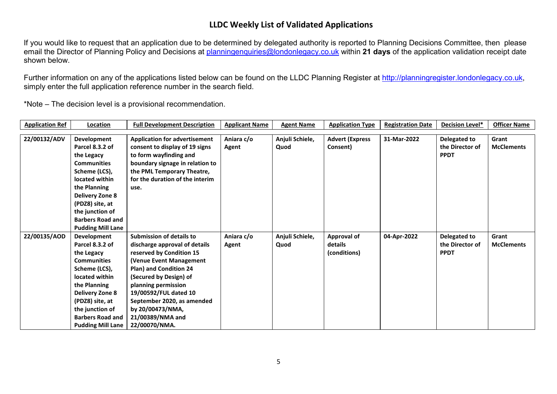If you would like to request that an application due to be determined by delegated authority is reported to Planning Decisions Committee, then please email the Director of Planning Policy and Decisions at [planningenquiries@londonlegacy.co.uk](mailto:planningenquiries@londonlegacy.co.uk) within **21 days** of the application validation receipt date shown below.

Further information on any of the applications listed below can be found on the LLDC Planning Register at [http://planningregister.londonlegacy.co.uk,](http://planningregister.londonlegacy.co.uk/) simply enter the full application reference number in the search field.

| <b>Application Ref</b> | Location                 | <b>Full Development Description</b>  | <b>Applicant Name</b> | <b>Agent Name</b> | <b>Application Type</b> | <b>Registration Date</b> | Decision Level* | <b>Officer Name</b> |
|------------------------|--------------------------|--------------------------------------|-----------------------|-------------------|-------------------------|--------------------------|-----------------|---------------------|
|                        |                          |                                      |                       |                   |                         |                          |                 |                     |
| 22/00132/ADV           | Development              | <b>Application for advertisement</b> | Aniara c/o            | Anjuli Schiele,   | <b>Advert (Express</b>  | 31-Mar-2022              | Delegated to    | Grant               |
|                        | Parcel 8.3.2 of          | consent to display of 19 signs       | Agent                 | Quod              | Consent)                |                          | the Director of | <b>McClements</b>   |
|                        | the Legacy               | to form wayfinding and               |                       |                   |                         |                          | <b>PPDT</b>     |                     |
|                        | <b>Communities</b>       | boundary signage in relation to      |                       |                   |                         |                          |                 |                     |
|                        | Scheme (LCS),            | the PML Temporary Theatre,           |                       |                   |                         |                          |                 |                     |
|                        | located within           | for the duration of the interim      |                       |                   |                         |                          |                 |                     |
|                        | the Planning             | use.                                 |                       |                   |                         |                          |                 |                     |
|                        | <b>Delivery Zone 8</b>   |                                      |                       |                   |                         |                          |                 |                     |
|                        | (PDZ8) site, at          |                                      |                       |                   |                         |                          |                 |                     |
|                        | the junction of          |                                      |                       |                   |                         |                          |                 |                     |
|                        | <b>Barbers Road and</b>  |                                      |                       |                   |                         |                          |                 |                     |
|                        | <b>Pudding Mill Lane</b> |                                      |                       |                   |                         |                          |                 |                     |
| 22/00135/AOD           | Development              | <b>Submission of details to</b>      | Aniara c/o            | Anjuli Schiele,   | <b>Approval of</b>      | 04-Apr-2022              | Delegated to    | Grant               |
|                        | Parcel 8.3.2 of          | discharge approval of details        | Agent                 | Quod              | details                 |                          | the Director of | <b>McClements</b>   |
|                        | the Legacy               | reserved by Condition 15             |                       |                   | (conditions)            |                          | <b>PPDT</b>     |                     |
|                        | <b>Communities</b>       | (Venue Event Management              |                       |                   |                         |                          |                 |                     |
|                        | Scheme (LCS),            | Plan) and Condition 24               |                       |                   |                         |                          |                 |                     |
|                        | located within           | (Secured by Design) of               |                       |                   |                         |                          |                 |                     |
|                        | the Planning             | planning permission                  |                       |                   |                         |                          |                 |                     |
|                        | <b>Delivery Zone 8</b>   | 19/00592/FUL dated 10                |                       |                   |                         |                          |                 |                     |
|                        | (PDZ8) site, at          | September 2020, as amended           |                       |                   |                         |                          |                 |                     |
|                        | the junction of          | by 20/00473/NMA,                     |                       |                   |                         |                          |                 |                     |
|                        | <b>Barbers Road and</b>  | 21/00389/NMA and                     |                       |                   |                         |                          |                 |                     |
|                        | <b>Pudding Mill Lane</b> | 22/00070/NMA.                        |                       |                   |                         |                          |                 |                     |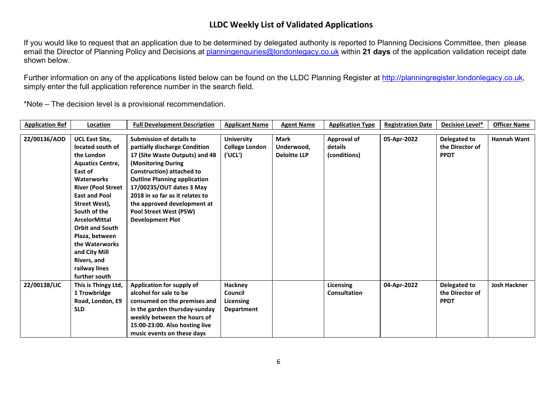If you would like to request that an application due to be determined by delegated authority is reported to Planning Decisions Committee, then please email the Director of Planning Policy and Decisions at [planningenquiries@londonlegacy.co.uk](mailto:planningenquiries@londonlegacy.co.uk) within **21 days** of the application validation receipt date shown below.

Further information on any of the applications listed below can be found on the LLDC Planning Register at [http://planningregister.londonlegacy.co.uk,](http://planningregister.londonlegacy.co.uk/) simply enter the full application reference number in the search field.

| <b>Application Ref</b> | Location                  | <b>Full Development Description</b> | <b>Applicant Name</b> | <b>Agent Name</b>   | <b>Application Type</b> | <b>Registration Date</b> | <b>Decision Level*</b> | <b>Officer Name</b> |
|------------------------|---------------------------|-------------------------------------|-----------------------|---------------------|-------------------------|--------------------------|------------------------|---------------------|
|                        |                           |                                     |                       |                     |                         |                          |                        |                     |
| 22/00136/AOD           | <b>UCL East Site,</b>     | <b>Submission of details to</b>     | <b>University</b>     | <b>Mark</b>         | <b>Approval of</b>      | 05-Apr-2022              | Delegated to           | Hannah Want         |
|                        | located south of          | partially discharge Condition       | <b>College London</b> | Underwood,          | details                 |                          | the Director of        |                     |
|                        | the London                | 17 (Site Waste Outputs) and 48      | ('UCL')               | <b>Deloitte LLP</b> | (conditions)            |                          | <b>PPDT</b>            |                     |
|                        | <b>Aquatics Centre,</b>   | (Monitoring During                  |                       |                     |                         |                          |                        |                     |
|                        | East of                   | <b>Construction) attached to</b>    |                       |                     |                         |                          |                        |                     |
|                        | <b>Waterworks</b>         | <b>Outline Planning application</b> |                       |                     |                         |                          |                        |                     |
|                        | <b>River (Pool Street</b> | 17/00235/OUT dates 3 May            |                       |                     |                         |                          |                        |                     |
|                        | <b>East and Pool</b>      | 2018 in so far as it relates to     |                       |                     |                         |                          |                        |                     |
|                        | Street West),             | the approved development at         |                       |                     |                         |                          |                        |                     |
|                        | South of the              | Pool Street West (PSW)              |                       |                     |                         |                          |                        |                     |
|                        | <b>ArcelorMittal</b>      | <b>Development Plot</b>             |                       |                     |                         |                          |                        |                     |
|                        | <b>Orbit and South</b>    |                                     |                       |                     |                         |                          |                        |                     |
|                        | Plaza, between            |                                     |                       |                     |                         |                          |                        |                     |
|                        | the Waterworks            |                                     |                       |                     |                         |                          |                        |                     |
|                        | and City Mill             |                                     |                       |                     |                         |                          |                        |                     |
|                        | Rivers, and               |                                     |                       |                     |                         |                          |                        |                     |
|                        | railway lines             |                                     |                       |                     |                         |                          |                        |                     |
|                        | further south             |                                     |                       |                     |                         |                          |                        |                     |
| 22/00138/LIC           | This is Thingy Ltd,       | Application for supply of           | <b>Hackney</b>        |                     | Licensing               | 04-Apr-2022              | Delegated to           | <b>Josh Hackner</b> |
|                        | 1 Trowbridge              | alcohol for sale to be              | Council               |                     | <b>Consultation</b>     |                          | the Director of        |                     |
|                        | Road, London, E9          | consumed on the premises and        | Licensing             |                     |                         |                          | <b>PPDT</b>            |                     |
|                        | 5LD                       | in the garden thursday-sunday       | Department            |                     |                         |                          |                        |                     |
|                        |                           | weekly between the hours of         |                       |                     |                         |                          |                        |                     |
|                        |                           | 15:00-23:00. Also hosting live      |                       |                     |                         |                          |                        |                     |
|                        |                           | music events on these days          |                       |                     |                         |                          |                        |                     |